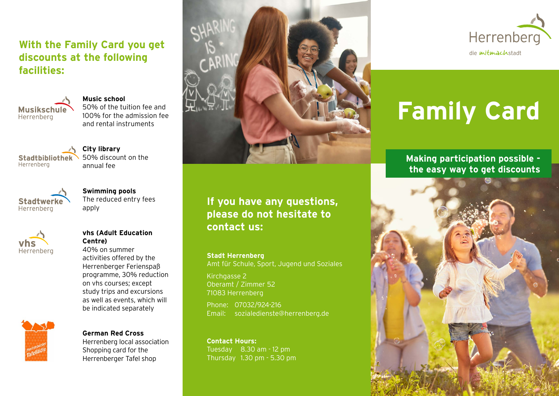### **With the Family Card you get discounts at the following facilities:**



**Music school** 50% of the tuition fee and 100% for the admission fee and rental instruments

Stadtbibliothek Herrenberg

**City library** 50% discount on the annual fee



**Swimming pools** The reduced entry fees apply



#### **vhs (Adult Education Centre)**

40% on summer activities offered by the Herrenberger Ferienspaß programme, 30% reduction on vhs courses; except study trips and excursions as well as events, which will be indicated separately



**German Red Cross**  Herrenberg local association Shopping card for the Herrenberger Tafel shop



## **If you have any questions, please do not hesitate to contact us:**

**Stadt Herrenberg** Amt für Schule, Sport, Jugend und Soziales

Kirchgasse 2 Oberamt / Zimmer 52 71083 Herrenberg

Phone: 07032/924-216 Email: sozialedienste@herrenberg.de

**Contact Hours:** Tuesday 8.30 am - 12 pm Thursday 1.30 pm - 5.30 pm



# **Family Card**

**Making participation possible the easy way to get discounts**